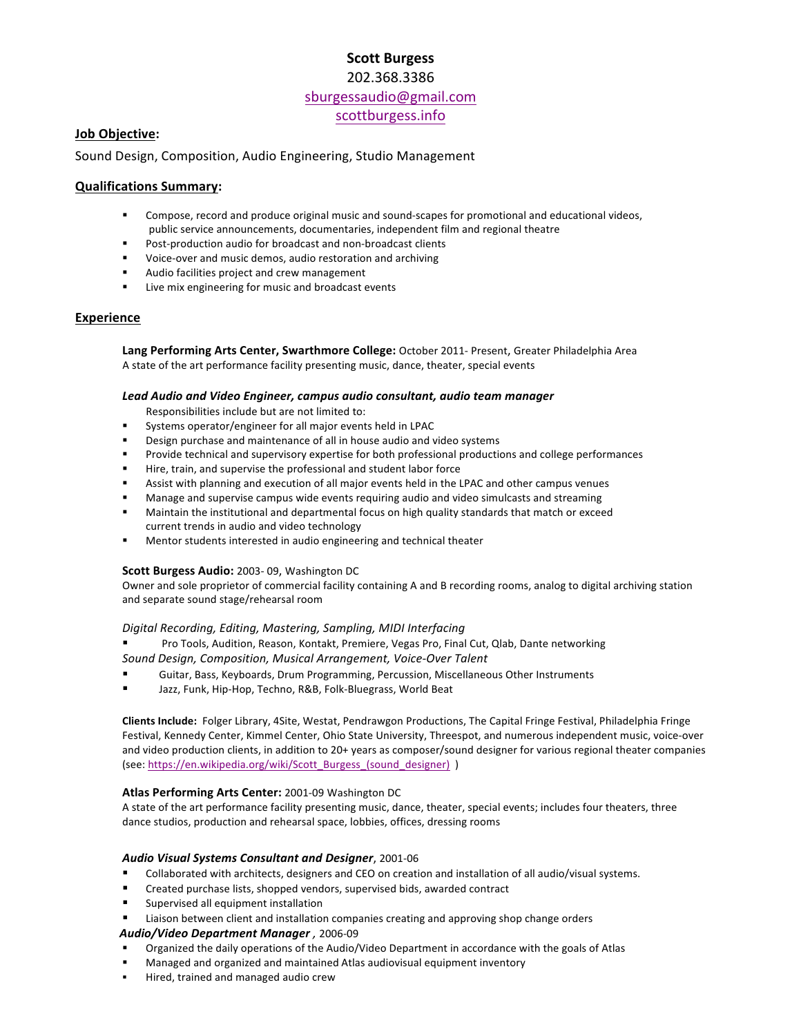# **Scott Burgess** 202.368.3386

sburgessaudio@gmail.com scottburgess.info

# **Job Objective:**

Sound Design, Composition, Audio Engineering, Studio Management

# **Qualifications Summary:**

- Compose, record and produce original music and sound-scapes for promotional and educational videos, public service announcements, documentaries, independent film and regional theatre
- **Post-production audio for broadcast and non-broadcast clients**
- Voice-over and music demos, audio restoration and archiving
- Audio facilities project and crew management
- Live mix engineering for music and broadcast events

# **Experience**

Lang Performing Arts Center, Swarthmore College: October 2011- Present, Greater Philadelphia Area A state of the art performance facility presenting music, dance, theater, special events

## Lead Audio and Video Engineer, campus audio consultant, audio team manager

Responsibilities include but are not limited to:

- Systems operator/engineer for all major events held in LPAC
- Design purchase and maintenance of all in house audio and video systems
- Provide technical and supervisory expertise for both professional productions and college performances
- Hire, train, and supervise the professional and student labor force
- Assist with planning and execution of all major events held in the LPAC and other campus venues
- Manage and supervise campus wide events requiring audio and video simulcasts and streaming
- " Maintain the institutional and departmental focus on high quality standards that match or exceed current trends in audio and video technology
- **Mentor students interested in audio engineering and technical theater**

## **Scott Burgess Audio:** 2003- 09, Washington DC

Owner and sole proprietor of commercial facility containing A and B recording rooms, analog to digital archiving station and separate sound stage/rehearsal room

## *Digital Recording, Editing, Mastering, Sampling, MIDI Interfacing*

Pro Tools, Audition, Reason, Kontakt, Premiere, Vegas Pro, Final Cut, Qlab, Dante networking

*Sound Design, Composition, Musical Arrangement, Voice-Over Talent*

- Guitar, Bass, Keyboards, Drum Programming, Percussion, Miscellaneous Other Instruments
- Jazz, Funk, Hip-Hop, Techno, R&B, Folk-Bluegrass, World Beat

Clients Include: Folger Library, 4Site, Westat, Pendrawgon Productions, The Capital Fringe Festival, Philadelphia Fringe Festival, Kennedy Center, Kimmel Center, Ohio State University, Threespot, and numerous independent music, voice-over and video production clients, in addition to 20+ years as composer/sound designer for various regional theater companies (see: https://en.wikipedia.org/wiki/Scott\_Burgess\_(sound\_designer) )

## Atlas Performing Arts Center: 2001-09 Washington DC

A state of the art performance facility presenting music, dance, theater, special events; includes four theaters, three dance studios, production and rehearsal space, lobbies, offices, dressing rooms

# *Audio Visual Systems Consultant and Designer*, 2001-06

- Collaborated with architects, designers and CEO on creation and installation of all audio/visual systems.
- Created purchase lists, shopped vendors, supervised bids, awarded contract
- Supervised all equipment installation
- Liaison between client and installation companies creating and approving shop change orders

 *Audio/Video Department Manager ,* 2006-09

- Organized the daily operations of the Audio/Video Department in accordance with the goals of Atlas
- Managed and organized and maintained Atlas audiovisual equipment inventory
- **Hired, trained and managed audio crew**